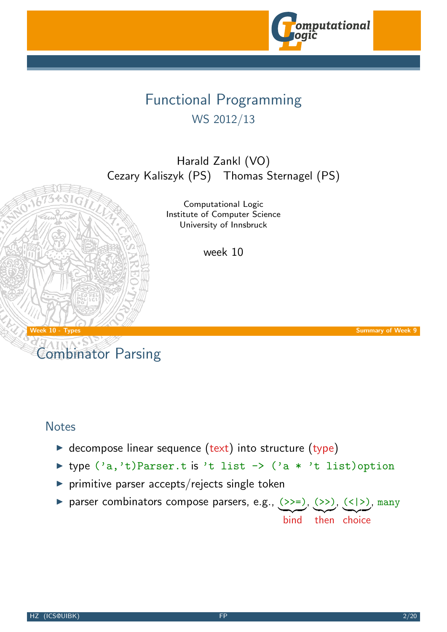

# Functional Programming WS 2012/13

Harald Zankl (VO) Cezary Kaliszyk (PS) Thomas Sternagel (PS)

> Computational Logic Institute of Computer Science University of Innsbruck

> > week 10

Week 10 - Types Summary of Week 9

# Combinator Parsing

#### **Notes**

- $\triangleright$  decompose linear s[equence \(text\) in](http://cl-informatik.uibk.ac.at)to structure (type)
- ▶ type  $('a,'t)$ Parser.t is 't list ->  $('a * 't$  list)option
- $\triangleright$  primitive parser accepts/rejects single token
- ▶ parser combinators compose parsers, e.g., (>>=), (>>), (<|>), many bind then choice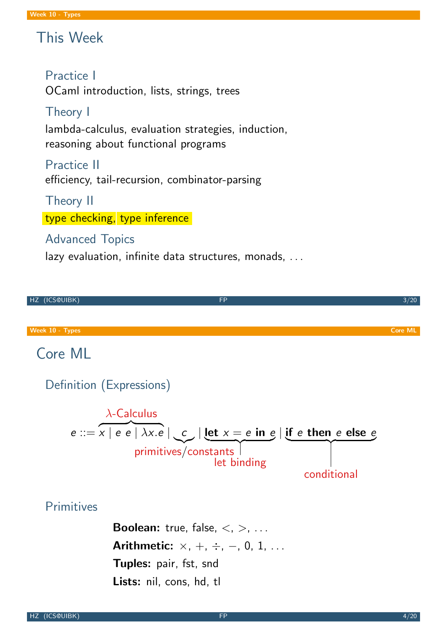# This Week

## Practice I

OCaml introduction, lists, strings, trees

## Theory I

lambda-calculus, evaluation strategies, induction, reasoning about functional programs

Practice II efficiency, tail-recursion, combinator-parsing

Theory II

type checking, type inference

## Advanced Topics

lazy evaluation, infinite data structures, monads, ...

<span id="page-1-0"></span>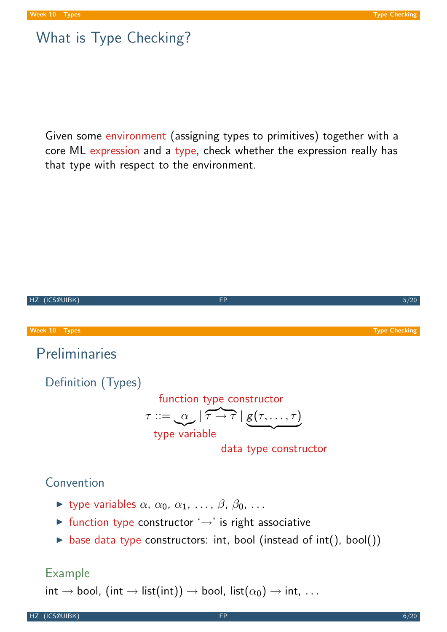## What is Type Checking?

Given some environment (assigning types to primitives) together with a core ML expression and a type, check whether the expression really has that type with respect to the environment.



#### Example

<span id="page-2-0"></span> $\mathsf{int} \to \mathsf{bool},\ (\mathsf{int} \to \mathsf{list}(\mathsf{int})) \to \mathsf{bool},\ \mathsf{list}(\alpha_0) \to \mathsf{int},\ \ldots$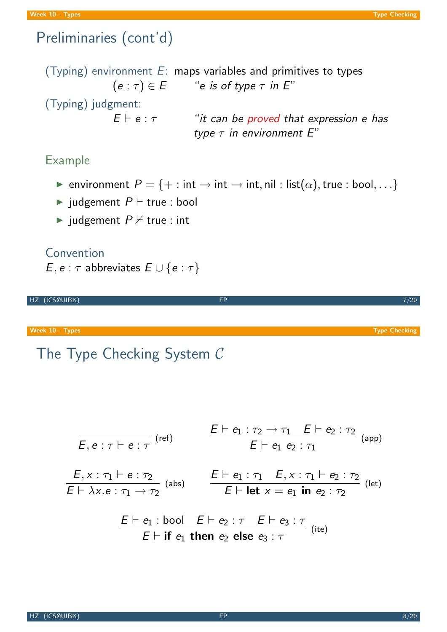## Preliminaries (cont'd)

(Typing) environment  $E$ : maps variables and primitives to types  $(e : \tau) \in E$  "e is of type  $\tau$  in E" (Typing) judgment:  $E \vdash e : \tau$  "it can be proved that expression e has type  $\tau$  in environment  $E''$ 

#### Example

- **►** environment  $P = \{ + : \text{int} \rightarrow \text{int} \rightarrow \text{int}, \text{nil} : \text{list}(\alpha), \text{true} : \text{bool}, \dots \}$
- iudgement  $P \vdash$  true : bool
- iudgement  $P \nvdash$  true : int

#### Convention

 $E, e : \tau$  abbreviates  $E \cup \{e : \tau\}$ 

HZ (ICS@UIBK) 7/20

Week 10 - Types Types Types Type Checking Type Checking Type Checking Type Checking Type Checking Type Checking

## The Type Checking System C

$$
\begin{array}{lll}\n\overline{E, e: \tau \vdash e: \tau} & \text{(ref)} & \frac{E \vdash e_1: \tau_2 \rightarrow \tau_1 \quad E \vdash e_2: \tau_2}{E \vdash e_1 \ e_2: \tau_1} & \text{(app)} \\
\hline\n\frac{E, x: \tau_1 \vdash e: \tau_2}{E \vdash \lambda x. e: \tau_1 \rightarrow \tau_2} & \text{(abs)} & \frac{E \vdash e_1: \tau_1 \quad E, x: \tau_1 \vdash e_2: \tau_2}{E \vdash \text{let } x = e_1 \text{ in } e_2: \tau_2} & \text{(let)} \\
& \frac{E \vdash e_1: \text{bool} \quad E \vdash e_2: \tau \quad E \vdash e_3: \tau}{E \vdash \text{if } e_1 \text{ then } e_2 \text{ else } e_3: \tau} & \text{(ite)}\n\end{array}
$$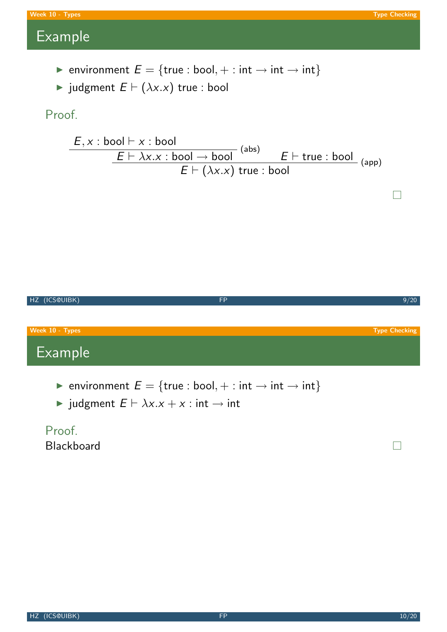$\Box$ 

# Example

- **►** environment  $E = \{true : bool, + : int \rightarrow int \rightarrow int\}$
- $\blacktriangleright$  judgment  $E \vdash (\lambda x.x)$  true : bool

## Proof.

$$
\frac{E \times \text{: }bool \vdash x : bool}{E \vdash \lambda x.x : bool \rightarrow bool} \xrightarrow{\text{(abs)}} E \vdash \text{true : bool}}{E \vdash (\lambda x.x) \text{ true : bool}} \xrightarrow{\text{(app)}}
$$



 $\triangleright$  judgment  $E \vdash \lambda x.x + x : \text{int} \rightarrow \text{int}$ 

## Proof. Blackboard

 $\Box$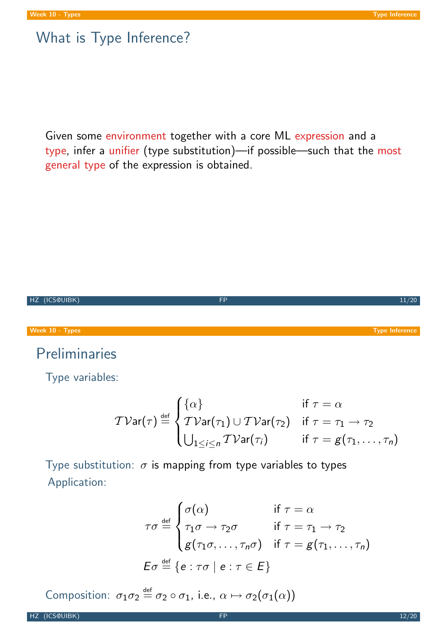## What is Type Inference?

Given some environment together with a core ML expression and a type, infer a unifier (type substitution)—if possible—such that the most general type of the expression is obtained.

HZ (ICS@UIBK) FP 11/20 Week 10 - Types Type Inference Preliminaries Type variables:

$$
\mathcal{TV}\text{ar}(\tau) \stackrel{\text{def}}{=} \begin{cases} \{\alpha\} & \text{if } \tau = \alpha \\ \mathcal{TV}\text{ar}(\tau_1) \cup \mathcal{TV}\text{ar}(\tau_2) & \text{if } \tau = \tau_1 \to \tau_2 \\ \bigcup_{1 \leq i \leq n} \mathcal{TV}\text{ar}(\tau_i) & \text{if } \tau = g(\tau_1, \ldots, \tau_n) \end{cases}
$$

Type substitution:  $\sigma$  is mapping from type variables to types Application:

<span id="page-5-0"></span>
$$
\tau\sigma \stackrel{\text{def}}{=} \begin{cases}\n\sigma(\alpha) & \text{if } \tau = \alpha \\
\tau_1\sigma \to \tau_2\sigma & \text{if } \tau = \tau_1 \to \tau_2 \\
g(\tau_1\sigma, \dots, \tau_n\sigma) & \text{if } \tau = g(\tau_1, \dots, \tau_n)\n\end{cases}
$$
\n
$$
E\sigma \stackrel{\text{def}}{=} \{e : \tau\sigma \mid e : \tau \in E\}
$$

Composition:  $\sigma_1 \sigma_2 \stackrel{\text{def}}{=} \sigma_2 \circ \sigma_1$ , i.e.,  $\alpha \mapsto \sigma_2(\sigma_1(\alpha))$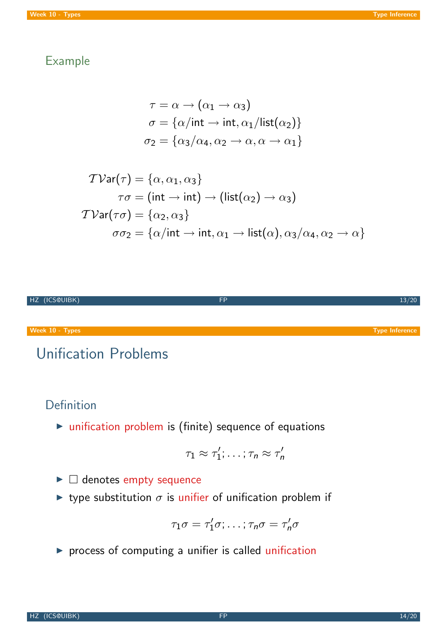### Example

$$
\tau = \alpha \rightarrow (\alpha_1 \rightarrow \alpha_3)
$$

$$
\sigma = {\alpha / \text{int} \rightarrow \text{int}, \alpha_1 / \text{list}(\alpha_2)}
$$

$$
\sigma_2 = {\alpha_3 / \alpha_4, \alpha_2 \rightarrow \alpha, \alpha \rightarrow \alpha_1}
$$

$$
\mathcal{TVar}(\tau) = \{\alpha, \alpha_1, \alpha_3\}
$$
  
\n
$$
\tau\sigma = (\text{int} \rightarrow \text{int}) \rightarrow (\text{list}(\alpha_2) \rightarrow \alpha_3)
$$
  
\n
$$
\mathcal{TVar}(\tau\sigma) = \{\alpha_2, \alpha_3\}
$$
  
\n
$$
\sigma\sigma_2 = \{\alpha/\text{int} \rightarrow \text{int}, \alpha_1 \rightarrow \text{list}(\alpha), \alpha_3/\alpha_4, \alpha_2 \rightarrow \alpha\}
$$



# Unification Problems

### Definition

 $\triangleright$  unification problem is (finite) sequ[ence of](#page-5-0) equations

$$
\tau_1 \approx \tau_1'; \ldots; \tau_n \approx \tau_n'
$$

- $\blacktriangleright$   $\Box$  denotes empty sequence
- riangleright type substitution  $\sigma$  is unifier of unification problem if

$$
\tau_1\sigma=\tau_1'\sigma;\ldots;\tau_n\sigma=\tau_n'\sigma
$$

 $\blacktriangleright$  process of computing a unifier is called unification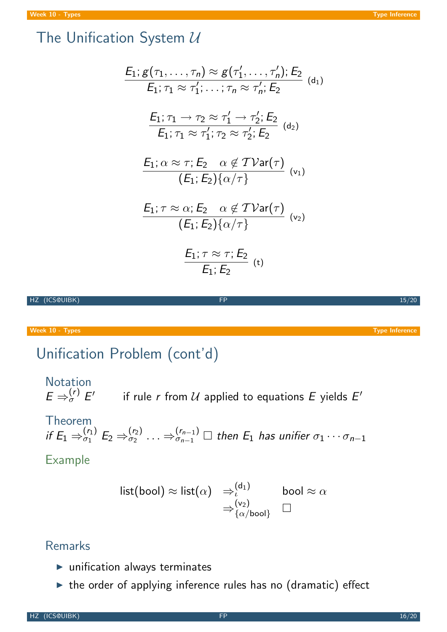# The Unification System  $U$

$$
E_1: g(\tau_1, \ldots, \tau_n) \approx g(\tau'_1, \ldots, \tau'_n); E_2
$$
\n
$$
E_1: \tau_1 \approx \tau'_1; \ldots; \tau_n \approx \tau'_n; E_2
$$
\n
$$
E_1: \tau_1 \to \tau_2 \approx \tau'_1 \to \tau'_2; E_2
$$
\n
$$
E_1: \tau_1 \approx \tau'_1; \tau_2 \approx \tau'_2; E_2
$$
\n
$$
E_1: \alpha \approx \tau; E_2 \quad \alpha \notin T \text{Var}(\tau)
$$
\n
$$
(E_1: E_2) \{\alpha/\tau\}
$$
\n
$$
E_1: \tau \approx \alpha; E_2 \quad \alpha \notin T \text{Var}(\tau)
$$
\n
$$
(E_1: E_2) \{\alpha/\tau\}
$$
\n
$$
E_1: \tau \approx \tau; E_2
$$
\n
$$
E_1: \tau \approx \tau; E_2
$$
\n
$$
E_1: E_2
$$
\n
$$
(E_1: E_2) \{\alpha/\tau\}
$$
\n
$$
E_1: E_2
$$
\n
$$
(E_1: E_2) \{\tau\}
$$

HZ (ICS@UIBK) FP 15/20

Week 10 - Types Types Types Type Inference

# Unification Problem (cont'd)

Notation  
\n
$$
E \Rightarrow_{\sigma}^{(r)} E'
$$
 if rule *r* from *U* applied to equations *E* yields *E'*  
\nTheorem  
\nif  $E_1 \Rightarrow_{\sigma_1}^{(r_1)} E_2 \Rightarrow_{\sigma_2}^{(r_2)} \dots \Rightarrow_{\sigma_{n-1}}^{(r_{n-1})} \square$  then  $E_1$  has unifier  $\sigma_1 \cdots \sigma_{n-1}$   
\nExample

$$
\begin{array}{ll}\n\text{list}(\text{bool}) \approx \text{list}(\alpha) & \Rightarrow_{\iota}^{(\mathsf{d}_1)} & \text{bool} \approx \alpha \\
& \Rightarrow_{\{\alpha/\text{bool}\}}^{(\mathsf{v}_2)} & \Box\n\end{array}
$$

## Remarks

- $\blacktriangleright$  unification always terminates
- $\blacktriangleright$  the order of applying inference rules has no (dramatic) effect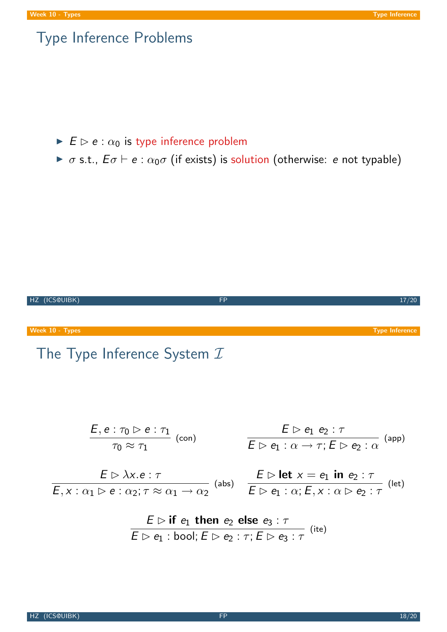## Type Inference Problems

- $\blacktriangleright$   $E \triangleright e : \alpha_0$  is type inference problem
- $\triangleright \sigma$  s.t.,  $E\sigma \vdash e : \alpha_0\sigma$  (if exists) is solution (otherwise: e not typable)



# The Type Inference System  $I$

$$
\frac{E, e : \tau_0 \triangleright e : \tau_1}{\tau_0 \approx \tau_1} \text{ (con)}
$$
\n
$$
\frac{E \triangleright e_1 e_2 : \tau}{E \triangleright e_1 : \alpha \to \tau; E \triangleright e_2 : \alpha} \text{ (app)}
$$
\n
$$
E \triangleright \lambda x. e : \tau
$$
\n
$$
\frac{E \triangleright \text{let } x = e_1 \text{ in } e_2 : \tau}{E \triangleright e_1 : \alpha; E, x : \alpha \triangleright e_2 : \tau} \text{ (let)}
$$

$$
\frac{E \rhd \textbf{if } e_1 \textbf{ then } e_2 \textbf{ else } e_3 : \tau}{E \rhd e_1 : \textbf{bool}; E \rhd e_2 : \tau; E \rhd e_3 : \tau} \text{ (ite)}
$$